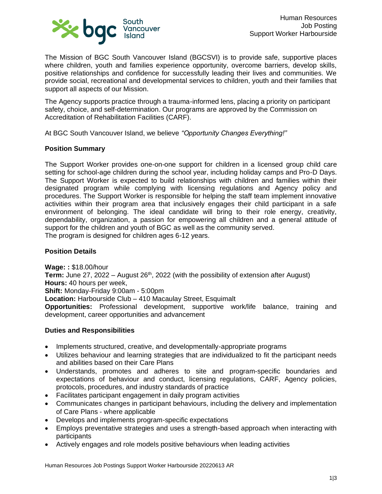

The Mission of BGC South Vancouver Island (BGCSVI) is to provide safe, supportive places where children, youth and families experience opportunity, overcome barriers, develop skills, positive relationships and confidence for successfully leading their lives and communities. We provide social, recreational and developmental services to children, youth and their families that support all aspects of our Mission.

The Agency supports practice through a trauma-informed lens, placing a priority on participant safety, choice, and self-determination. Our programs are approved by the Commission on Accreditation of Rehabilitation Facilities (CARF).

At BGC South Vancouver Island, we believe *"Opportunity Changes Everything!"*

## **Position Summary**

The Support Worker provides one-on-one support for children in a licensed group child care setting for school-age children during the school year, including holiday camps and Pro-D Days. The Support Worker is expected to build relationships with children and families within their designated program while complying with licensing regulations and Agency policy and procedures. The Support Worker is responsible for helping the staff team implement innovative activities within their program area that inclusively engages their child participant in a safe environment of belonging. The ideal candidate will bring to their role energy, creativity, dependability, organization, a passion for empowering all children and a general attitude of support for the children and youth of BGC as well as the community served. The program is designed for children ages 6-12 years.

#### **Position Details**

**Wage: :** \$18.00/hour Term: June 27, 2022 – August 26<sup>th</sup>, 2022 (with the possibility of extension after August) **Hours:** 40 hours per week, **Shift:** Monday-Friday 9:00am - 5:00pm **Location:** Harbourside Club – 410 Macaulay Street, Esquimalt **Opportunities:** Professional development, supportive work/life balance, training and development, career opportunities and advancement

#### **Duties and Responsibilities**

- Implements structured, creative, and developmentally-appropriate programs
- Utilizes behaviour and learning strategies that are individualized to fit the participant needs and abilities based on their Care Plans
- Understands, promotes and adheres to site and program-specific boundaries and expectations of behaviour and conduct, licensing regulations, CARF, Agency policies, protocols, procedures, and industry standards of practice
- Facilitates participant engagement in daily program activities
- Communicates changes in participant behaviours, including the delivery and implementation of Care Plans - where applicable
- Develops and implements program-specific expectations
- Employs preventative strategies and uses a strength-based approach when interacting with participants
- Actively engages and role models positive behaviours when leading activities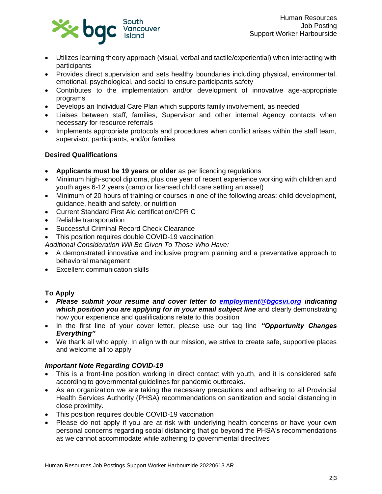

- Utilizes learning theory approach (visual, verbal and tactile/experiential) when interacting with participants
- Provides direct supervision and sets healthy boundaries including physical, environmental, emotional, psychological, and social to ensure participants safety
- Contributes to the implementation and/or development of innovative age-appropriate programs
- Develops an Individual Care Plan which supports family involvement, as needed
- Liaises between staff, families, Supervisor and other internal Agency contacts when necessary for resource referrals
- Implements appropriate protocols and procedures when conflict arises within the staff team, supervisor, participants, and/or families

## **Desired Qualifications**

- **Applicants must be 19 years or older** as per licencing regulations
- Minimum high-school diploma, plus one year of recent experience working with children and youth ages 6-12 years (camp or licensed child care setting an asset)
- Minimum of 20 hours of training or courses in one of the following areas: child development, guidance, health and safety, or nutrition
- Current Standard First Aid certification/CPR C
- Reliable transportation
- Successful Criminal Record Check Clearance
- This position requires double COVID-19 vaccination
- *Additional Consideration Will Be Given To Those Who Have:*
- A demonstrated innovative and inclusive program planning and a preventative approach to behavioral management
- Excellent communication skills

# **To Apply**

- *Please submit your resume and cover letter to [employment@bgcsvi.org](mailto:employment@bgcsvi.org) indicating which position you are applying for in your email subject line* and clearly demonstrating how your experience and qualifications relate to this position
- In the first line of your cover letter, please use our tag line *"Opportunity Changes Everything"*
- We thank all who apply. In align with our mission, we strive to create safe, supportive places and welcome all to apply

## *Important Note Regarding COVID-19*

- This is a front-line position working in direct contact with youth, and it is considered safe according to governmental guidelines for pandemic outbreaks.
- As an organization we are taking the necessary precautions and adhering to all Provincial Health Services Authority (PHSA) recommendations on sanitization and social distancing in close proximity.
- This position requires double COVID-19 vaccination
- Please do not apply if you are at risk with underlying health concerns or have your own personal concerns regarding social distancing that go beyond the PHSA's recommendations as we cannot accommodate while adhering to governmental directives